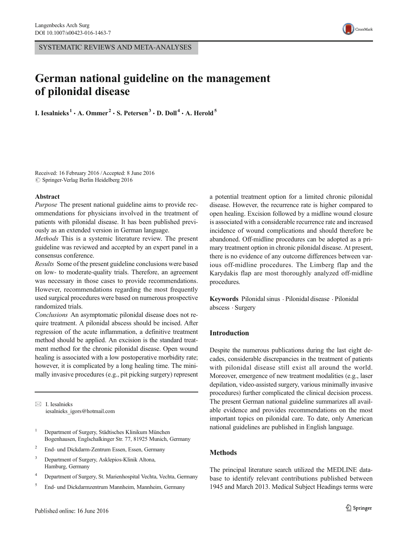SYSTEMATIC REVIEWS AND META-ANALYSES

# German national guideline on the management of pilonidal disease

I. Iesalnieks<sup>1</sup> · A. Ommer<sup>2</sup> · S. Petersen<sup>3</sup> · D. Doll<sup>4</sup> · A. Herold<sup>5</sup>

Received: 16 February 2016 /Accepted: 8 June 2016  $\oslash$  Springer-Verlag Berlin Heidelberg 2016

#### Abstract

Purpose The present national guideline aims to provide recommendations for physicians involved in the treatment of patients with pilonidal disease. It has been published previously as an extended version in German language.

Methods This is a systemic literature review. The present guideline was reviewed and accepted by an expert panel in a consensus conference.

Results Some of the present guideline conclusions were based on low- to moderate-quality trials. Therefore, an agreement was necessary in those cases to provide recommendations. However, recommendations regarding the most frequently used surgical procedures were based on numerous prospective randomized trials.

Conclusions An asymptomatic pilonidal disease does not require treatment. A pilonidal abscess should be incised. After regression of the acute inflammation, a definitive treatment method should be applied. An excision is the standard treatment method for the chronic pilonidal disease. Open wound healing is associated with a low postoperative morbidity rate; however, it is complicated by a long healing time. The minimally invasive procedures (e.g., pit picking surgery) represent

 $\boxtimes$  I. Iesalnieks iesalnieks\_igors@hotmail.com

- <sup>1</sup> Department of Surgery, Städtisches Klinikum München Bogenhausen, Englschalkinger Str. 77, 81925 Munich, Germany
- <sup>2</sup> End- und Dickdarm-Zentrum Essen, Essen, Germany
- <sup>3</sup> Department of Surgery, Asklepios-Klinik Altona, Hamburg, Germany
- <sup>4</sup> Department of Surgery, St. Marienhospital Vechta, Vechta, Germany
- <sup>5</sup> End- und Dickdarmzentrum Mannheim, Mannheim, Germany

a potential treatment option for a limited chronic pilonidal disease. However, the recurrence rate is higher compared to open healing. Excision followed by a midline wound closure is associated with a considerable recurrence rate and increased incidence of wound complications and should therefore be abandoned. Off-midline procedures can be adopted as a primary treatment option in chronic pilonidal disease. At present, there is no evidence of any outcome differences between various off-midline procedures. The Limberg flap and the Karydakis flap are most thoroughly analyzed off-midline procedures.

Keywords Pilonidal sinus . Pilonidal disease . Pilonidal abscess . Surgery

# Introduction

Despite the numerous publications during the last eight decades, considerable discrepancies in the treatment of patients with pilonidal disease still exist all around the world. Moreover, emergence of new treatment modalities (e.g., laser depilation, video-assisted surgery, various minimally invasive procedures) further complicated the clinical decision process. The present German national guideline summarizes all available evidence and provides recommendations on the most important topics on pilonidal care. To date, only American national guidelines are published in English language.

# Methods

The principal literature search utilized the MEDLINE database to identify relevant contributions published between 1945 and March 2013. Medical Subject Headings terms were

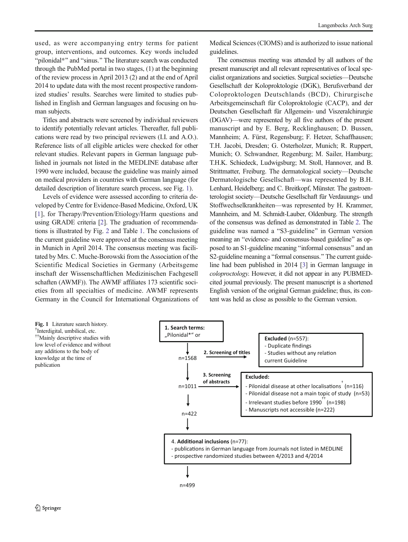used, as were accompanying entry terms for patient group, interventions, and outcomes. Key words included "pilonidal\*" and "sinus." The literature search was conducted through the PubMed portal in two stages, (1) at the beginning of the review process in April 2013 (2) and at the end of April 2014 to update data with the most recent prospective randomized studies' results. Searches were limited to studies published in English and German languages and focusing on human subjects.

Titles and abstracts were screened by individual reviewers to identify potentially relevant articles. Thereafter, full publications were read by two principal reviewers (I.I. and A.O.). Reference lists of all eligible articles were checked for other relevant studies. Relevant papers in German language published in journals not listed in the MEDLINE database after 1990 were included, because the guideline was mainly aimed on medical providers in countries with German language (for detailed description of literature search process, see Fig. 1).

Levels of evidence were assessed according to criteria developed by Centre for Evidence-Based Medicine, Oxford, UK [\[1](#page-7-0)], for Therapy/Prevention/Etiology/Harm questions and using GRADE criteria [[2](#page-7-0)]. The graduation of recommendations is illustrated by Fig. [2](#page-2-0) and Table [1.](#page-2-0) The conclusions of the current guideline were approved at the consensus meeting in Munich in April 2014. The consensus meeting was facilitated by Mrs. C. Muche-Borowski from the Association of the Scientific Medical Societies in Germany (Arbeitsgeme inschaft der Wissenschaftlichen Medizinischen Fachgesell schaften (AWMF)). The AWMF affiliates 173 scientific societies from all specialties of medicine. AWMF represents Germany in the Council for International Organizations of

Medical Sciences (CIOMS) and is authorized to issue national guidelines.

The consensus meeting was attended by all authors of the present manuscript and all relevant representatives of local specialist organizations and societies. Surgical societies—Deutsche Gesellschaft der Koloproktologie (DGK), Berufsverband der Coloproktologen Deutschlands (BCD), Chirurgische Arbeitsgemeinschaft für Coloproktologie (CACP), and der Deutschen Gesellschaft für Allgemein- und Viszeralchirurgie (DGAV)—were represented by all five authors of the present manuscript and by E. Berg, Recklinghausen; D. Bussen, Mannheim; A. Fürst, Regensburg; F. Hetzer, Schaffhausen; T.H. Jacobi, Dresden; G. Osterholzer, Munich; R. Ruppert, Munich; O. Schwandner, Regenburg; M. Sailer, Hamburg; T.H.K. Schiedeck, Ludwigsburg; M. Stoll, Hannover, and B. Strittmatter, Freiburg. The dermatological society—Deutsche Dermatologische Gesellschaft—was represented by B.H. Lenhard, Heidelberg; and C. Breitkopf, Münster. The gastroenterologist society—Deutsche Gesellschaft für Verdauungs- und Stoffwechselkrankheiten—was represented by H. Krammer, Mannheim, and M. Schmidt-Lauber, Oldenburg. The strength of the consensus was defined as demonstrated in Table [2](#page-3-0). The guideline was named a "S3-guideline" in German version meaning an "evidence- and consensus-based guideline" as opposed to an S1-guideline meaning "informal consensus" and an S2-guideline meaning a "formal consensus." The current guideline had been published in 2014 [\[3](#page-7-0)] in German language in coloproctology. However, it did not appear in any PUBMEDcited journal previously. The present manuscript is a shortened English version of the original German guideline; thus, its content was held as close as possible to the German version.

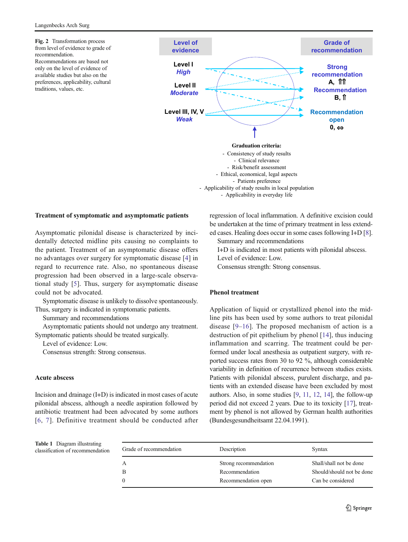<span id="page-2-0"></span>

- Risk/benefit assessment - Ethical, economical, legal aspects - Patients preference - Applicability of study results in local population - Applicability in everyday life

## Treatment of symptomatic and asymptomatic patients

Asymptomatic pilonidal disease is characterized by incidentally detected midline pits causing no complaints to the patient. Treatment of an asymptomatic disease offers no advantages over surgery for symptomatic disease [\[4](#page-8-0)] in regard to recurrence rate. Also, no spontaneous disease progression had been observed in a large-scale observational study [\[5\]](#page-8-0). Thus, surgery for asymptomatic disease could not be advocated.

Symptomatic disease is unlikely to dissolve spontaneously. Thus, surgery is indicated in symptomatic patients.

Summary and recommendations

Asymptomatic patients should not undergo any treatment. Symptomatic patients should be treated surgically.

Level of evidence: Low.

Consensus strength: Strong consensus.

## Acute abscess

Incision and drainage (I+D) is indicated in most cases of acute pilonidal abscess, although a needle aspiration followed by antibiotic treatment had been advocated by some authors [[6,](#page-8-0) [7](#page-8-0)]. Definitive treatment should be conducted after regression of local inflammation. A definitive excision could be undertaken at the time of primary treatment in less extended cases. Healing does occur in some cases following I+D [[8\]](#page-8-0).

Summary and recommendations

I+D is indicated in most patients with pilonidal abscess.

Level of evidence: Low.

Consensus strength: Strong consensus.

## Phenol treatment

Application of liquid or crystallized phenol into the midline pits has been used by some authors to treat pilonidal disease [\[9](#page-8-0)–[16](#page-8-0)]. The proposed mechanism of action is a destruction of pit epithelium by phenol [\[14\]](#page-8-0), thus inducing inflammation and scarring. The treatment could be performed under local anesthesia as outpatient surgery, with reported success rates from 30 to 92 %, although considerable variability in definition of recurrence between studies exists. Patients with pilonidal abscess, purulent discharge, and patients with an extended disease have been excluded by most authors. Also, in some studies [[9](#page-8-0), [11,](#page-8-0) [12,](#page-8-0) [14](#page-8-0)], the follow-up period did not exceed 2 years. Due to its toxicity [[17\]](#page-8-0), treatment by phenol is not allowed by German health authorities (Bundesgesundheitsamt 22.04.1991).

Table 1 Diagram illustrating classification of recommendation

| Grade of recommendation | Description           | Syntax                    |
|-------------------------|-----------------------|---------------------------|
| A                       | Strong recommendation | Shall/shall not be done   |
| B                       | Recommendation        | Should/should not be done |
| $\theta$                | Recommendation open   | Can be considered         |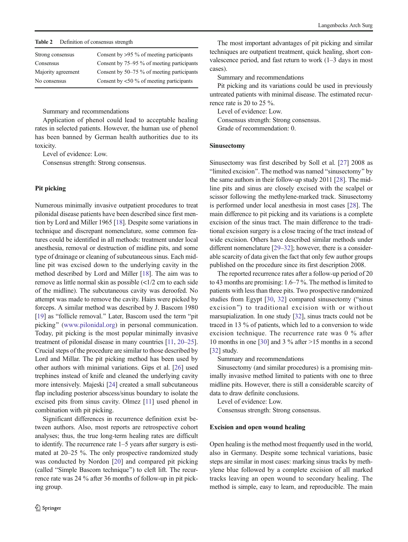#### <span id="page-3-0"></span>Table 2 Definition of consensus strength

| Strong consensus   | Consent by $>95\%$ of meeting participants    |
|--------------------|-----------------------------------------------|
| Consensus          | Consent by $75-95\%$ of meeting participants  |
| Majority agreement | Consent by $50-75\%$ of meeting participants  |
| No consensus       | Consent by $\lt 50\%$ of meeting participants |

Summary and recommendations

Application of phenol could lead to acceptable healing rates in selected patients. However, the human use of phenol has been banned by German health authorities due to its toxicity.

Level of evidence: Low.

Consensus strength: Strong consensus.

## Pit picking

Numerous minimally invasive outpatient procedures to treat pilonidal disease patients have been described since first mention by Lord and Miller 1965 [\[18\]](#page-8-0). Despite some variations in technique and discrepant nomenclature, some common features could be identified in all methods: treatment under local anesthesia, removal or destruction of midline pits, and some type of drainage or cleaning of subcutaneous sinus. Each midline pit was excised down to the underlying cavity in the method described by Lord and Miller [[18](#page-8-0)]. The aim was to remove as little normal skin as possible  $\left(\frac{1}{2} \text{ cm} \text{ to each side}\right)$ of the midline). The subcutaneous cavity was deroofed. No attempt was made to remove the cavity. Hairs were picked by forceps. A similar method was described by J. Bascom 1980 [\[19\]](#page-8-0) as "follicle removal." Later, Bascom used the term "pit picking" [\(www.pilonidal.org](http://www.pilonidal.org)) in personal communication. Today, pit picking is the most popular minimally invasive treatment of pilonidal disease in many countries [\[11,](#page-8-0) [20](#page-8-0)–[25\]](#page-8-0). Crucial steps of the procedure are similar to those described by Lord and Millar. The pit picking method has been used by other authors with minimal variations. Gips et al. [[26\]](#page-8-0) used trephines instead of knife and cleaned the underlying cavity more intensively. Majeski [[24](#page-8-0)] created a small subcutaneous flap including posterior abscess/sinus boundary to isolate the excised pits from sinus cavity. Olmez [\[11\]](#page-8-0) used phenol in combination with pit picking.

Significant differences in recurrence definition exist between authors. Also, most reports are retrospective cohort analyses; thus, the true long-term healing rates are difficult to identify. The recurrence rate 1–5 years after surgery is estimated at 20–25 %. The only prospective randomized study was conducted by Nordon [[20\]](#page-8-0) and compared pit picking (called "Simple Bascom technique") to cleft lift. The recurrence rate was 24 % after 36 months of follow-up in pit picking group.

The most important advantages of pit picking and similar techniques are outpatient treatment, quick healing, short convalescence period, and fast return to work (1–3 days in most cases).

Summary and recommendations

Pit picking and its variations could be used in previously untreated patients with minimal disease. The estimated recurrence rate is 20 to 25 %.

Level of evidence: Low.

Consensus strength: Strong consensus.

Grade of recommendation: 0.

#### Sinusectomy

Sinusectomy was first described by Soll et al. [[27](#page-8-0)] 2008 as "limited excision". The method was named "sinusectomy" by the same authors in their follow-up study 2011 [\[28\]](#page-8-0). The midline pits and sinus are closely excised with the scalpel or scissor following the methylene-marked track. Sinusectomy is performed under local anesthesia in most cases [\[28](#page-8-0)]. The main difference to pit picking and its variations is a complete excision of the sinus tract. The main difference to the traditional excision surgery is a close tracing of the tract instead of wide excision. Others have described similar methods under different nomenclature [[29](#page-8-0)–[32](#page-8-0)]; however, there is a considerable scarcity of data given the fact that only few author groups published on the procedure since its first description 2008.

The reported recurrence rates after a follow-up period of 20 to 43 months are promising: 1.6–7 %. The method is limited to patients with less than three pits. Two prospective randomized studies from Egypt  $[30, 32]$  $[30, 32]$  $[30, 32]$  $[30, 32]$  compared sinusectomy ("sinus excision") to traditional excision with or without marsupialization. In one study [[32](#page-8-0)], sinus tracts could not be traced in 13 % of patients, which led to a conversion to wide excision technique. The recurrence rate was 0 % after 10 months in one [\[30\]](#page-8-0) and 3 % after >15 months in a second [\[32](#page-8-0)] study.

Summary and recommendations

Sinusectomy (and similar procedures) is a promising minimally invasive method limited to patients with one to three midline pits. However, there is still a considerable scarcity of data to draw definite conclusions.

Level of evidence: Low.

Consensus strength: Strong consensus.

#### Excision and open wound healing

Open healing is the method most frequently used in the world, also in Germany. Despite some technical variations, basic steps are similar in most cases: marking sinus tracks by methylene blue followed by a complete excision of all marked tracks leaving an open wound to secondary healing. The method is simple, easy to learn, and reproducible. The main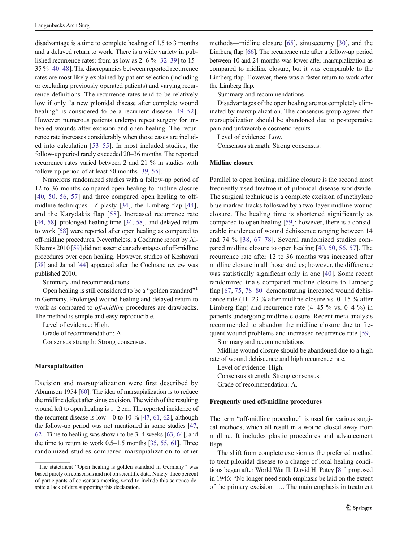disadvantage is a time to complete healing of 1.5 to 3 months and a delayed return to work. There is a wide variety in published recurrence rates: from as low as 2–6 % [\[32](#page-8-0)–[39](#page-8-0)] to 15– 35 % [\[40](#page-8-0)–[48\]](#page-9-0). The discrepancies between reported recurrence rates are most likely explained by patient selection (including or excluding previously operated patients) and varying recurrence definitions. The recurrence rates tend to be relatively low if only "a new pilonidal disease after complete wound healing" is considered to be a recurrent disease [[49](#page-9-0)–[52](#page-9-0)]. However, numerous patients undergo repeat surgery for unhealed wounds after excision and open healing. The recurrence rate increases considerably when those cases are included into calculation [\[53](#page-9-0)–[55\]](#page-9-0). In most included studies, the follow-up period rarely exceeded 20–36 months. The reported recurrence rates varied between 2 and 21 % in studies with follow-up period of at least 50 months [[39](#page-8-0), [55](#page-9-0)].

Numerous randomized studies with a follow-up period of 12 to 36 months compared open healing to midline closure [\[40](#page-8-0), [50,](#page-9-0) [56](#page-9-0), [57\]](#page-9-0) and three compared open healing to offmidline techniques—Z-plasty [[34\]](#page-8-0), the Limberg flap [\[44](#page-8-0)], and the Karydakis flap [[58\]](#page-9-0). Increased recurrence rate [\[44,](#page-8-0) [58\]](#page-9-0), prolonged healing time [\[34,](#page-8-0) [58](#page-9-0)], and delayed return to work [\[58\]](#page-9-0) were reported after open healing as compared to off-midline procedures. Nevertheless, a Cochrane report by Al-Khamis 2010 [[59](#page-9-0)] did not assert clear advantages of off-midline procedures over open healing. However, studies of Keshavari [\[58\]](#page-9-0) and Jamal [\[44\]](#page-8-0) appeared after the Cochrane review was published 2010.

Summary and recommendations

Open healing is still considered to be a "golden standard"<sup>1</sup> in Germany. Prolonged wound healing and delayed return to work as compared to off-midline procedures are drawbacks. The method is simple and easy reproducible.

Level of evidence: High.

Grade of recommendation: A.

Consensus strength: Strong consensus.

## Marsupialization

Excision and marsupialization were first described by Abramson 1954 [[60](#page-9-0)]. The idea of marsupialization is to reduce the midline defect after sinus excision. The width of the resulting wound left to open healing is 1–2 cm. The reported incidence of the recurrent disease is low—0 to 10  $\%$  [\[47](#page-9-0), [61](#page-9-0), [62\]](#page-9-0), although the follow-up period was not mentioned in some studies [\[47,](#page-9-0) [62\]](#page-9-0). Time to healing was shown to be 3–4 weeks [\[63,](#page-9-0) [64](#page-9-0)], and the time to return to work  $0.5-1.5$  months  $[35, 55, 61]$  $[35, 55, 61]$  $[35, 55, 61]$  $[35, 55, 61]$  $[35, 55, 61]$ . Three randomized studies compared marsupialization to other

methods—midline closure [[65\]](#page-9-0), sinusectomy [[30\]](#page-8-0), and the Limberg flap [\[66\]](#page-9-0). The recurrence rate after a follow-up period between 10 and 24 months was lower after marsupialization as compared to midline closure, but it was comparable to the Limberg flap. However, there was a faster return to work after the Limberg flap.

Summary and recommendations

Disadvantages of the open healing are not completely eliminated by marsupialization. The consensus group agreed that marsupialization should be abandoned due to postoperative pain and unfavorable cosmetic results.

Level of evidence: Low.

Consensus strength: Strong consensus.

## Midline closure

Parallel to open healing, midline closure is the second most frequently used treatment of pilonidal disease worldwide. The surgical technique is a complete excision of methylene blue marked tracks followed by a two-layer midline wound closure. The healing time is shortened significantly as compared to open healing [[59](#page-9-0)]; however, there is a considerable incidence of wound dehiscence ranging between 14 and 74 % [\[38](#page-8-0), [67](#page-9-0)–[78](#page-9-0)]. Several randomized studies compared midline closure to open healing [\[40](#page-8-0), [50,](#page-9-0) [56](#page-9-0), [57](#page-9-0)]. The recurrence rate after 12 to 36 months was increased after midline closure in all those studies; however, the difference was statistically significant only in one [[40](#page-8-0)]. Some recent randomized trials compared midline closure to Limberg flap [[67,](#page-9-0) [75,](#page-9-0) [78](#page-9-0)–[80](#page-9-0)] demonstrating increased wound dehiscence rate (11–23 % after midline closure vs. 0–15 % after Limberg flap) and recurrence rate  $(4-45\% \text{ vs. } 0-4\%)$  in patients undergoing midline closure. Recent meta-analysis recommended to abandon the midline closure due to frequent wound problems and increased recurrence rate [\[59](#page-9-0)].

Summary and recommendations

Midline wound closure should be abandoned due to a high rate of wound dehiscence and high recurrence rate.

Level of evidence: High. Consensus strength: Strong consensus. Grade of recommendation: A.

#### Frequently used off-midline procedures

The term "off-midline procedure" is used for various surgical methods, which all result in a wound closed away from midline. It includes plastic procedures and advancement flaps.

The shift from complete excision as the preferred method to treat pilonidal disease to a change of local healing conditions began after World War II. David H. Patey [\[81](#page-9-0)] proposed in 1946: "No longer need such emphasis be laid on the extent of the primary excision. …. The main emphasis in treatment

 $1$  The statetment "Open healing is golden standard in Germany" was based purely on consensus and not on scientific data. Ninety-three percent of participants of consensus meeting voted to include this sentence despite a lack of data supporting this declaration.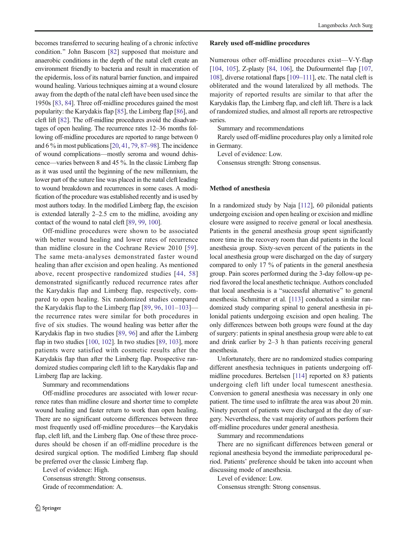becomes transferred to securing healing of a chronic infective condition." John Bascom [[82\]](#page-9-0) supposed that moisture and anaerobic conditions in the depth of the natal cleft create an environment friendly to bacteria and result in maceration of the epidermis, loss of its natural barrier function, and impaired wound healing. Various techniques aiming at a wound closure away from the depth of the natal cleft have been used since the 1950s [[83,](#page-9-0) [84](#page-9-0)]. Three off-midline procedures gained the most popularity: the Karydakis flap [\[85\]](#page-9-0), the Limberg flap [[86](#page-9-0)], and cleft lift [[82\]](#page-9-0). The off-midline procedures avoid the disadvantages of open healing. The recurrence rates 12–36 months following off-midline procedures are reported to range between 0 and 6 % in most publications [[20](#page-8-0), [41](#page-8-0), [79,](#page-9-0) [87](#page-9-0)–[98](#page-10-0)]. The incidence of wound complications—mostly seroma and wound dehiscence—varies between 8 and 45 %. In the classic Limberg flap as it was used until the beginning of the new millennium, the lower part of the suture line was placed in the natal cleft leading to wound breakdown and recurrences in some cases. A modification of the procedure was established recently and is used by most authors today. In the modified Limberg flap, the excision is extended laterally 2–2.5 cm to the midline, avoiding any contact of the wound to natal cleft [\[89,](#page-9-0) [99](#page-10-0), [100\]](#page-10-0).

Off-midline procedures were shown to be associated with better wound healing and lower rates of recurrence than midline closure in the Cochrane Review 2010 [\[59](#page-9-0)]. The same meta-analyses demonstrated faster wound healing than after excision and open healing. As mentioned above, recent prospective randomized studies [[44](#page-8-0), [58\]](#page-9-0) demonstrated significantly reduced recurrence rates after the Karydakis flap and Limberg flap, respectively, compared to open healing. Six randomized studies compared the Karydakis flap to the Limberg flap [\[89](#page-9-0), [96](#page-10-0), [101](#page-10-0)–[103\]](#page-10-0) the recurrence rates were similar for both procedures in five of six studies. The wound healing was better after the Karydakis flap in two studies [[89](#page-9-0), [96\]](#page-10-0) and after the Limberg flap in two studies [\[100](#page-10-0), [102\]](#page-10-0). In two studies [\[89](#page-9-0), [103](#page-10-0)], more patients were satisfied with cosmetic results after the Karydakis flap than after the Limberg flap. Prospective randomized studies comparing cleft lift to the Karydakis flap and Limberg flap are lacking.

### Summary and recommendations

Off-midline procedures are associated with lower recurrence rates than midline closure and shorter time to complete wound healing and faster return to work than open healing. There are no significant outcome differences between three most frequently used off-midline procedures—the Karydakis flap, cleft lift, and the Limberg flap. One of these three procedures should be chosen if an off-midline procedure is the desired surgical option. The modified Limberg flap should be preferred over the classic Limberg flap.

Level of evidence: High.

Consensus strength: Strong consensus.

Grade of recommendation: A.

#### Rarely used off-midline procedures

Numerous other off-midline procedures exist—V-Y-flap [\[104,](#page-10-0) [105\]](#page-10-0), Z-plasty [[84](#page-9-0), [106](#page-10-0)], the Dufourmentel flap [\[107,](#page-10-0) [108\]](#page-10-0), diverse rotational flaps [\[109](#page-10-0)–[111\]](#page-10-0), etc. The natal cleft is obliterated and the wound lateralized by all methods. The majority of reported results are similar to that after the Karydakis flap, the Limberg flap, and cleft lift. There is a lack of randomized studies, and almost all reports are retrospective series.

Summary and recommendations

Rarely used off-midline procedures play only a limited role in Germany.

Level of evidence: Low.

Consensus strength: Strong consensus.

### Method of anesthesia

In a randomized study by Naja [[112](#page-10-0)], 60 pilonidal patients undergoing excision and open healing or excision and midline closure were assigned to receive general or local anesthesia. Patients in the general anesthesia group spent significantly more time in the recovery room than did patients in the local anesthesia group. Sixty-seven percent of the patients in the local anesthesia group were discharged on the day of surgery compared to only 17 % of patients in the general anesthesia group. Pain scores performed during the 3-day follow-up period favored the local anesthetic technique. Authors concluded that local anesthesia is a "successful alternative" to general anesthesia. Schmittner et al. [\[113\]](#page-10-0) conducted a similar randomized study comparing spinal to general anesthesia in pilonidal patients undergoing excision and open healing. The only differences between both groups were found at the day of surgery: patients in spinal anesthesia group were able to eat and drink earlier by 2–3 h than patients receiving general anesthesia.

Unfortunately, there are no randomized studies comparing different anesthesia techniques in patients undergoing offmidline procedures. Bertelsen [[114](#page-10-0)] reported on 83 patients undergoing cleft lift under local tumescent anesthesia. Conversion to general anesthesia was necessary in only one patient. The time used to infiltrate the area was about 20 min. Ninety percent of patients were discharged at the day of surgery. Nevertheless, the vast majority of authors perform their off-midline procedures under general anesthesia.

Summary and recommendations

There are no significant differences between general or regional anesthesia beyond the immediate periprocedural period. Patients' preference should be taken into account when discussing mode of anesthesia.

Level of evidence: Low.

Consensus strength: Strong consensus.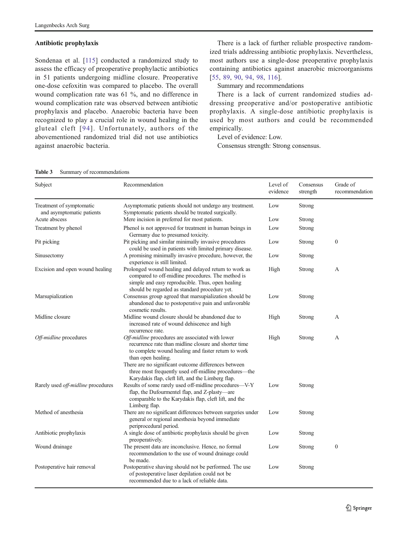## <span id="page-6-0"></span>Antibiotic prophylaxis

Sondenaa et al. [\[115](#page-10-0)] conducted a randomized study to assess the efficacy of preoperative prophylactic antibiotics in 51 patients undergoing midline closure. Preoperative one-dose cefoxitin was compared to placebo. The overall wound complication rate was 61 %, and no difference in wound complication rate was observed between antibiotic prophylaxis and placebo. Anaerobic bacteria have been recognized to play a crucial role in wound healing in the gluteal cleft [[94](#page-10-0)]. Unfortunately, authors of the abovementioned randomized trial did not use antibiotics against anaerobic bacteria.

There is a lack of further reliable prospective randomized trials addressing antibiotic prophylaxis. Nevertheless, most authors use a single-dose preoperative prophylaxis containing antibiotics against anaerobic microorganisms [\[55,](#page-9-0) [89,](#page-9-0) [90](#page-10-0), [94](#page-10-0), [98,](#page-10-0) [116\]](#page-10-0).

Summary and recommendations

There is a lack of current randomized studies addressing preoperative and/or postoperative antibiotic prophylaxis. A single-dose antibiotic prophylaxis is used by most authors and could be recommended empirically.

Level of evidence: Low.

Consensus strength: Strong consensus.

| Table 3 |  | Summary of recommendations |  |
|---------|--|----------------------------|--|
|---------|--|----------------------------|--|

| Subject                                               | Recommendation                                                                                                                                                                                                  | Level of<br>evidence | Consensus<br>strength | Grade of<br>recommendation |
|-------------------------------------------------------|-----------------------------------------------------------------------------------------------------------------------------------------------------------------------------------------------------------------|----------------------|-----------------------|----------------------------|
| Treatment of symptomatic<br>and asymptomatic patients | Asymptomatic patients should not undergo any treatment.<br>Symptomatic patients should be treated surgically.                                                                                                   | Low                  | Strong                |                            |
| Acute abscess                                         | Mere incision in preferred for most patients.                                                                                                                                                                   | Low                  | Strong                |                            |
| Treatment by phenol                                   | Phenol is not approved for treatment in human beings in<br>Germany due to presumed toxicity.                                                                                                                    | Low                  | Strong                |                            |
| Pit picking                                           | Pit picking and similar minimally invasive procedures<br>could be used in patients with limited primary disease.                                                                                                | Low                  | Strong                | $\boldsymbol{0}$           |
| Sinusectomy                                           | A promising minimally invasive procedure, however, the<br>experience is still limited.                                                                                                                          | Low                  | Strong                |                            |
| Excision and open wound healing                       | Prolonged wound healing and delayed return to work as<br>compared to off-midline procedures. The method is<br>simple and easy reproducible. Thus, open healing<br>should be regarded as standard procedure yet. | High                 | Strong                | А                          |
| Marsupialization                                      | Consensus group agreed that marsupialization should be<br>abandoned due to postoperative pain and unfavorable<br>cosmetic results.                                                                              | Low                  | Strong                |                            |
| Midline closure                                       | Midline wound closure should be abandoned due to<br>increased rate of wound dehiscence and high<br>recurrence rate.                                                                                             | High                 | Strong                | A                          |
| Off-midline procedures                                | Off-midline procedures are associated with lower<br>recurrence rate than midline closure and shorter time<br>to complete wound healing and faster return to work<br>than open healing.                          | High                 | Strong                | А                          |
|                                                       | There are no significant outcome differences between<br>three most frequently used off-midline procedures-the<br>Karydakis flap, cleft lift, and the Limberg flap.                                              |                      |                       |                            |
| Rarely used <i>off-midline</i> procedures             | Results of some rarely used off-midline procedures—V-Y<br>flap, the Dufourmentel flap, and Z-plasty-are<br>comparable to the Karydakis flap, cleft lift, and the<br>Limberg flap.                               | Low                  | Strong                |                            |
| Method of anesthesia                                  | There are no significant differences between surgeries under<br>general or regional anesthesia beyond immediate<br>periprocedural period.                                                                       | Low                  | Strong                |                            |
| Antibiotic prophylaxis                                | A single dose of antibiotic prophylaxis should be given<br>preoperatively.                                                                                                                                      | Low                  | Strong                |                            |
| Wound drainage                                        | The present data are inconclusive. Hence, no formal<br>recommendation to the use of wound drainage could<br>be made.                                                                                            | Low                  | Strong                | $\boldsymbol{0}$           |
| Postoperative hair removal                            | Postoperative shaving should not be performed. The use<br>of postoperative laser depilation could not be<br>recommended due to a lack of reliable data.                                                         | Low                  | Strong                |                            |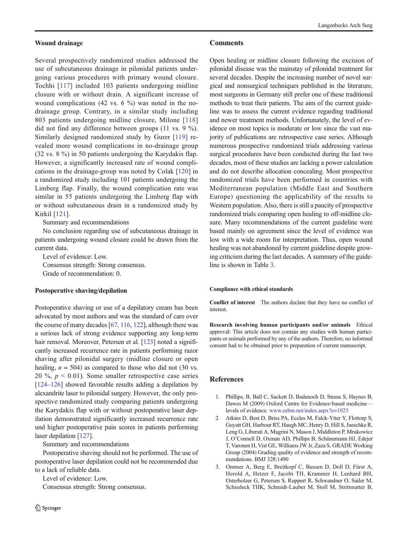## <span id="page-7-0"></span>Wound drainage

Several prospectively randomized studies addressed the use of subcutaneous drainage in pilonidal patients undergoing various procedures with primary wound closure. Tochhi [\[117\]](#page-10-0) included 103 patients undergoing midline closure with or without drain. A significant increase of wound complications  $(42 \text{ vs. } 6 \%)$  was noted in the nodrainage group. Contrary, in a similar study including 803 patients undergoing midline closure, Milone [\[118\]](#page-10-0) did not find any difference between groups (11 vs. 9 %). Similarly designed randomized study by Gurer [[119\]](#page-10-0) revealed more wound complications in no-drainage group (32 vs. 8 %) in 50 patients undergoing the Karydakis flap. However, a significantly increased rate of wound complications in the drainage-group was noted by Colak [[120](#page-10-0)] in a randomized study including 101 patients undergoing the Limberg flap. Finally, the wound complication rate was similar in 55 patients undergoing the Limberg flap with or without subcutaneous drain in a randomized study by Kirkil [\[121\]](#page-10-0).

Summary and recommendations

No conclusion regarding use of subcutaneous drainage in patients undergoing wound closure could be drawn from the current data.

Level of evidence: Low. Consensus strength: Strong consensus. Grade of recommendation: 0.

## Postoperative shaving/depilation

Postoperative shaving or use of a depilatory cream has been advocated by most authors and was the standard of care over the course of many decades [[67](#page-9-0), [116](#page-10-0), [122](#page-10-0)], although there was a serious lack of strong evidence supporting any long-term hair removal. Moreover, Petersen et al. [\[123\]](#page-10-0) noted a significantly increased recurrence rate in patients performing razor shaving after pilonidal surgery (midline closure or open healing,  $n = 504$ ) as compared to those who did not (30 vs. 20 %,  $p < 0.01$ ). Some smaller retrospective case series [\[124](#page-10-0)–[126\]](#page-10-0) showed favorable results adding a depilation by alexandrite laser to pilonidal surgery. However, the only prospective randomized study comparing patients undergoing the Karydakis flap with or without postoperative laser depilation demonstrated significantly increased recurrence rate und higher postoperative pain scores in patients performing laser depilation [\[127\]](#page-10-0).

Summary and recommendations

Postoperative shaving should not be performed. The use of postoperative laser depilation could not be recommended due to a lack of reliable data.

Level of evidence: Low.

Consensus strength: Strong consensus.

### **Comments**

Open healing or midline closure following the excision of pilonidal disease was the mainstay of pilonidal treatment for several decades. Despite the increasing number of novel surgical and nonsurgical techniques published in the literature, most surgeons in Germany still prefer one of these traditional methods to treat their patients. The aim of the current guideline was to assess the current evidence regarding traditional and newer treatment methods. Unfortunately, the level of evidence on most topics is moderate or low since the vast majority of publications are retrospective case series. Although numerous prospective randomized trials addressing various surgical procedures have been conducted during the last two decades, most of these studies are lacking a power calculation and do not describe allocation concealing. Most prospective randomized trials have been performed in countries with Mediterranean population (Middle East and Southern Europe) questioning the applicability of the results to Western population. Also, there is still a paucity of prospective randomized trials comparing open healing to off-midline closure. Many recommendations of the current guideline were based mainly on agreement since the level of evidence was low with a wide room for interpretation. Thus, open wound healing was not abandoned by current guideline despite growing criticism during the last decades. A summary of the guideline is shown in Table [3.](#page-6-0)

#### Compliance with ethical standards

Conflict of interest The authors declare that they have no conflict of interest.

Research involving human participants and/or animals Ethical approval: This article does not contain any studies with human participants or animals performed by any of the authors. Therefore, no informed consent had to be obtained prior to preparation of current manuscript.

#### **References**

- 1. Phillips, B, Ball C, Sackett D, Badenoch D, Straus S, Haynes B, Dawes M (2009) Oxford Centre for Evidence-based medicine levels of evidence. [www.cebm.net/index.aspx?o=1025](http://www.cebm.net/index.aspx?o=1025)
- 2. Atkins D, Best D, Briss PA, Eccles M, Falck-Ytter Y, Flottorp S, Guyatt GH, Harbour RT, Haugh MC, Henry D, Hill S, Jaeschke R, Leng G, Liberati A, Magrini N, Mason J, Middleton P, Mrukowicz J, O'Connell D, Oxman AD, Phillips B, Schünemann HJ, Edejer T, Varonen H, Vist GE, Williams JW Jr, Zaza S, GRADE Working Group (2004) Grading quality of evidence and strength of recommendations. BMJ 328:1490
- 3. Ommer A, Berg E, Breitkopf C, Bussen D, Doll D, Fürst A, Herold A, Hetzer F, Jacobi TH, Krammer H, Lenhard BH, Osterholzer G, Petersen S, Ruppert R, Schwandner O, Sailer M, Schiedeck THK, Schmidt-Lauber M, Stoll M, Strittmatter B,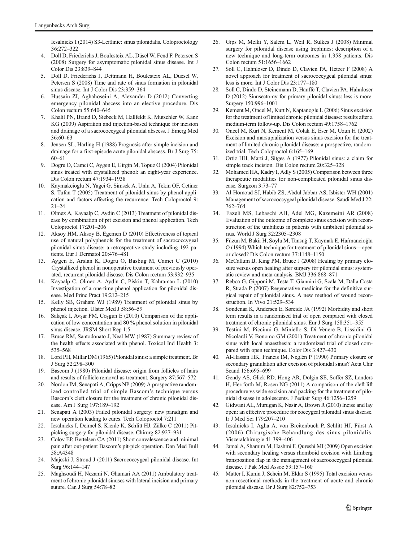<span id="page-8-0"></span>Iesalnieks I (2014) S3-Leitlinie: sinus pilonidalis. Coloproctology 36:272–322

- 4. Doll D, Friederichs J, Boulesteix AL, Düsel W, Fend F, Petersen S (2008) Surgery for asymptomatic pilonidal sinus disease. Int J Color Dis 23:839–844
- 5. Doll D, Friederichs J, Dettmann H, Boulesteix AL, Duesel W, Petersen S (2008) Time and rate of sinus formation in pilonidal sinus disease. Int J Color Dis 23:359–364
- 6. Hussain ZI, Aghahoseini A, Alexander D (2012) Converting emergency pilonidal abscess into an elective procedure. Dis Colon rectum 55:640–645
- 7. Khalil PN, Brand D, Siebeck M, Hallfeldt K, Mutschler W, Kanz KG (2009) Aspiration and injection-based technique for incision and drainage of a sacrococcygeal pilonidal abscess. J Emerg Med 36:60–63
- 8. Jensen SL, Harling H (1988) Prognosis after simple incision and drainage for a first-episode acute pilonidal abscess. Br J Surg 75: 60–61
- 9. Dogru O, Camci C, Aygen E, Girgin M, Topuz O (2004) Pilonidal sinus treated with crystallized phenol: an eight-year experience. Dis Colon rectum 47:1934–1938
- 10. Kaymakcioglu N, Yagci G, Simsek A, Unlu A, Tekin OF, Cetiner S, Tufan T (2005) Treatment of pilonidal sinus by phenol application and factors affecting the recurrence. Tech Coloproctol 9: 21–24
- 11. Olmez A, Kayaalp C, Aydin C (2013) Treatment of pilonidal disease by combination of pit excision and phenol application. Tech Coloproctol 17:201–206
- 12. Aksoy HM, Aksoy B, Egemen D (2010) Effectiveness of topical use of natural polyphenols for the treatment of sacrococcygeal pilonidal sinus disease: a retrospective study including 192 patients. Eur J Dermatol 20:476–481
- 13. Aygen E, Arslan K, Dogru O, Basbug M, Camci C (2010) Crystallized phenol in nonoperative treatment of previously operated, recurrent pilonidal disease. Dis Colon rectum 53:932–935
- 14. Kayaalp C, Olmez A, Aydin C, Piskin T, Kahraman L (2010) Investigation of a one-time phenol application for pilonidal disease. Med Princ Pract 19:212–215
- 15. Kelly SB, Graham WJ (1989) Treatment of pilonidal sinus by phenol injection. Ulster Med J 58:56–59
- 16. Sakçak I, Avşar FM, Coşgun E (2010) Comparison of the application of low concentration and 80 % phenol solution in pilonidal sinus disease. JRSM Short Rep 1:5
- 17. Bruce RM, Santodonato J, Neal MW (1987) Summary review of the health effects associated with phenol. Toxicol Ind Health 3: 535–568
- 18. Lord PH, Millar DM (1965) Pilonidal sinus: a simple treatment. Br J Surg 52:298–300
- 19. Bascom J (1980) Pilonidal disease: origin from follicles of hairs and results of follicle removal as treatment. Surgery 87:567–572
- 20. Nordon IM, Senapati A, Cripps NP (2009) A prospective randomized controlled trial of simple Bascom's technique versus Bascom's cleft closure for the treatment of chronic pilonidal disease. Am J Surg 197:189–192
- 21. Senapati A (2003) Failed pilonidal surgery: new paradigm and new operation leading to cures. Tech Coloproctol 7:211
- 22. Iesalnieks I, Deimel S, Kienle K, Schlitt HJ, Zülke C (2011) Pitpicking surgery for pilonidal disease. Chirurg 82:927–931
- 23. Colov EP, Bertelsen CA (2011) Short convalescence and minimal pain after out-patient Bascom's pit-pick operation. Dan Med Bull 58:A4348
- 24. Majeski J, Stroud J (2011) Sacrococcygeal pilonidal disease. Int Surg 96:144–147
- 25. Maghsoudi H, Nezami N, Ghamari AA (2011) Ambulatory treatment of chronic pilonidal sinuses with lateral incision and primary suture. Can J Surg 54:78–82
- 26. Gips M, Melki Y, Salem L, Weil R, Sulkes J (2008) Minimal surgery for pilonidal disease using trephines: description of a new technique and long-term outcomes in 1,358 patients. Dis Colon rectum 51:1656–1662
- 27. Soll C, Hahnloser D, Dindo D, Clavien PA, Hetzer F (2008) A novel approach for treatment of sacrococcygeal pilonidal sinus: less is more. Int J Color Dis 23:177–180
- 28. Soll C, Dindo D, Steinemann D, Hauffe T, Clavien PA, Hahnloser D (2012) Sinusectomy for primary pilonidal sinus: less is more. Surgery 150:996–1001
- 29. Kement M, Oncel M, Kurt N, Kaptanoglu L (2006) Sinus excision for the treatment of limited chronic pilonidal disease: results after a medium-term follow-up. Dis Colon rectum 49:1758–1762
- 30. Oncel M, Kurt N, Kement M, Colak E, Eser M, Uzun H (2002) Excision and marsupialization versus sinus excision for the treatment of limited chronic pilonidal disease: a prospective, randomized trial. Tech Coloproctol 6:165–169
- 31. Ortiz HH, Marti J, Sitges A (1977) Pilonidal sinus: a claim for simple track incision. Dis Colon rectum 20:325–328
- 32. Mohamed HA, Kadry I, Adly S (2005) Comparison between three therapeutic modalities for non-complicated pilonidal sinus disease. Surgeon 3:73–77
- 33. Al-Homoud SJ, Habib ZS, Abdul Jabbar AS, Isbister WH (2001) Management of sacrococcygeal pilonidal disease. Saudi Med J 22: 762–764
- 34. Fazeli MS, Lebaschi AH, Adel MG, Kazemeini AR (2008) Evaluation of the outcome of complete sinus excision with reconstruction of the umbilicus in patients with umbilical pilonidal sinus. World J Surg 32:2305–2308
- 35. Füzün M, Bakir H, Soylu M, Tansuğ T, Kaymak E, Haŕmancioğlu O (1994) Which technique for treatment of pilonidal sinus—open or closed? Dis Colon rectum 37:1148–1150
- 36. McCallum IJ, King PM, Bruce J (2008) Healing by primary closure versus open healing after surgery for pilonidal sinus: systematic review and meta-analysis. BMJ 336:868–871
- 37. Reboa G, Gipponi M, Testa T, Giannini G, Scala M, Dalla Costa R, Strada P (2007) Regenerative medicine for the definitive surgical repair of pilonidal sinus. A new method of wound reconstruction. In Vivo 21:529–534
- 38. Søndenaa K, Andersen E, Søreide JA (1992) Morbidity and short term results in a randomised trial of open compared with closed treatment of chronic pilonidal sinus. Eur J Surg 158:351–355
- 39. Testini M, Piccinni G, Miniello S, Di Venere B, Lissidini G, Nicolardi V, Bonomo GM (2001) Treatment of chronic pilonidal sinus with local anaesthesia: a randomized trial of closed compared with open technique. Color Dis 3:427–430
- 40. Al-Hassan HK, Francis IM, Neglén P (1990) Primary closure or secondary granulation after excision of pilonidal sinus? Acta Chir Scand 156:695–699
- 41. Gendy AS, Glick RD, Hong AR, Dolgin SE, Soffer SZ, Landers H, Herrforth M, Rosen NG (2011) A comparison of the cleft lift procedure vs wide excision and packing for the treatment of pilonidal disease in adolescents. J Pediatr Surg 46:1256–1259
- 42. Gidwani AL, Murugan K, Nasir A, Brown R (2010) Incise and lay open: an effective procedure for coccygeal pilonidal sinus disease. Ir J Med Sci 179:207–210
- 43. Iesalnieks I, Agha A, von Breitenbuch P, Schlitt HJ, Fürst A (2006) Chirurgische Behandlung des sinus pilonidalis. Viszeralchirurgie 41:399–406
- 44. Jamal A, Shamim M, Hashmi F, Qureshi MI (2009) Open excision with secondary healing versus rhomboid excision with Limberg transposition flap in the management of sacrococcygeal pilonidal disease. J Pak Med Assoc 59:157–160
- 45. Matter I, Kunin J, Schein M, Eldar S (1995) Total excision versus non-resectional methods in the treatment of acute and chronic pilonidal disease. Br J Surg 82:752–753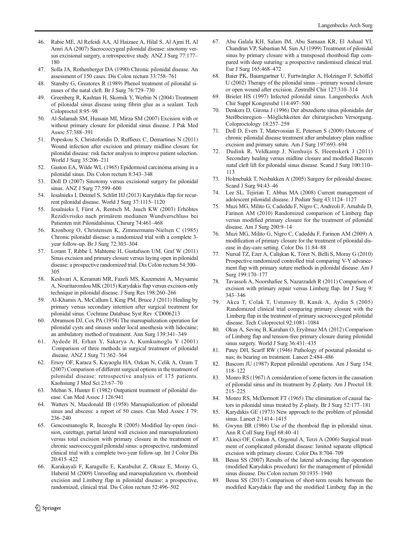- <span id="page-9-0"></span>46. Rabie ME, Al Refeidi AA, Al Haizaee A, Hilal S, Al Ajmi H, Al Amri AA (2007) Sacrococcygeal pilonidal disease: sinotomy versus excisional surgery, a retrospective study. ANZ J Surg 77:177– 180
- 47. Solla JA, Rothenberger DA (1990) Chronic pilonidal disease. An assessment of 150 cases. Dis Colon rectum 33:758–761
- 48. Stansby G, Greatorex R (1989) Phenol treatment of pilonidal sinuses of the natal cleft. Br J Surg 76:729–730
- 49. Greenberg R, Kashtan H, Skornik Y, Werbin N (2004) Treatment of pilonidal sinus disease using fibrin glue as a sealant. Tech Coloproctol 8:95–98
- 50. Al-Salamah SM, Hussain MI, Mirza SM (2007) Excision with or without primary closure for pilonidal sinus disease. J Pak Med Assoc 57:388–391
- 51. Popeskou S, Christoforidis D, Ruffieux C, Demartines N (2011) Wound infection after excision and primary midline closure for pilonidal disease: risk factor analysis to improve patient selection. World J Surg 35:206–211
- 52. Gaston EA, Wilde WL (1965) Epidermoid carcinoma arising in a pilonidal sinus. Dis Colon rectum 8:343–348
- 53. Doll D (2007) Sinotomy versus excisional surgery for pilonidal sinus. ANZ J Surg 77:599–600
- 54. Iesalnieks I, Deimel S, Schlitt HJ (2013) Karydakis flap for recurrent pilonidal disease. World J Surg 37:1115–1120
- 55. Iesalnieks I, Fürst A, Rentsch M, Jauch KW (2003) Erhöhtes Rezidivrisiko nach primärem medianen Wundverschluss bei Patienten mit Pilonidalsinus. Chirurg 74:461–468
- 56. Kronborg O, Christensen K, Zimmermann-Nielsen C (1985) Chronic pilonidal disease: a randomized trial with a complete 3 year follow-up. Br J Surg 72:303–304
- 57. Lorant T, Ribbe I, Mahteme H, Gustafsson UM, Graf W (2011) Sinus excision and primary closure versus laying open in pilonidal disease: a prospective randomized trial. Dis Colon rectum 54:300– 305
- 58. Keshvari A, Keramati MR, Fazeli MS, Kazemeini A, Meysamie A, Nouritaromlou MK (2015) Karydakis flap versus excision-only technique in pilonidal disease. J Surg Res 198:260–266
- 59. Al-Khamis A, McCallum I, King PM, Bruce J (2011) Healing by primary versus secondary intention after surgical treatment for pilonidal sinus. Cochrane Database Syst Rev :CD006213
- 60. Abramson DJ, Cox PA (1954) The marsupialization operation for pilonidal cysts and sinuses under local anesthesia with lidocaine; an ambulatory method of treatment. Ann Surg 139:341–349
- 61. Aydede H, Erhan Y, Sakarya A, Kumkumoglu Y (2001) Comparison of three methods in surgical treatment of pilonidal disease. ANZ J Surg 71:362–364
- 62. Ersoy OF, Karaca S, Kayaoglu HA, Ozkan N, Celik A, Ozum T (2007) Comparison of different surgical options in the treatment of pilonidal disease: retrospective analysis of 175 patients. Kaohsiung J Med Sci 23:67–70
- 63. Meban S, Hunter E (1982) Outpatient treatment of pilonidal disease. Can Med Assoc J 126:941
- 64. Watters N, Macdonald IB (1958) Marsupialization of pilonidal sinus and abscess: a report of 50 cases. Can Med Assoc J 79: 236–240
- 65. Gencosmanoglu R, Inceoglu R (2005) Modified lay-open (incision, curettage, partial lateral wall excision and marsupialization) versus total excision with primary closure in the treatment of chronic sacrococcygeal pilonidal sinus: a prospective, randomized clinical trial with a complete two-year follow-up. Int J Color Dis 20:415–422
- 66. Karakayali F, Karagulle E, Karabulut Z, Oksuz E, Moray G, Haberal M (2009) Unroofing and marsupialization vs. rhomboid excision and Limberg flap in pilonidal disease: a prospective, randomized, clinical trial. Dis Colon rectum 52:496–502
- 67. Abu Galala KH, Salam IM, Abu Samaan KR, El Ashaal YI, Chandran VP, Sabastian M, Sim AJ (1999) Treatment of pilonidal sinus by primary closure with a transposed rhomboid flap compared with deep suturing: a prospective randomised clinical trial. Eur J Surg 165:468–472
- 68. Baier PK, Baumgartner U, Furtwängler A, Holzinger F, Schöffel U (2002) Therapy of the pilonidal sinus—primary wound closure or open wound after excision. Zentralbl Chir 127:310–314
- 69. Brieler HS (1997) Infected pilonidal sinus. Langenbecks Arch Chir Suppl Kongressbd 114:497–500
- 70. Denkers D, Girona J (1996) Der abszedierte sinus pilonidalis der Steißbeinregion—Möglichkeiten der chirurgischen Versorgung. Coloproctology 18:257–259
- 71. Doll D, Evers T, Matevossian E, Petersen S (2009) Outcome of chronic pilonidal disease treatment after ambulatory plain midline excision and primary suture. Am J Surg 197:693–694
- 72. Dudink R, Veldkamp J, Nienhuijs S, Heemskerk J (2011) Secondary healing versus midline closure and modified Bascom natal cleft lift for pilonidal sinus disease. Scand J Surg 100:110– 113
- 73. Holmebakk T, Nesbakken A (2005) Surgery for pilonidal disease. Scand J Surg 94:43–46
- 74. Lee SL, Tejirian T, Abbas MA (2008) Current management of adolescent pilonidal disease. J Pediatr Surg 43:1124–1127
- 75. Muzi MG, Milito G, Cadeddu F, Nigro C, Andreoli F, Amabile D, Farinon AM (2010) Randomized comparison of Limberg flap versus modified primary closure for the treatment of pilonidal disease. Am J Surg 200:9–14
- 76. Muzi MG, Milito G, Nigro C, Cadeddu F, Farinon AM (2009) A modification of primary closure for the treatment of pilonidal disease in day-care setting. Color Dis 11:84–88
- 77. Nursal TZ, Ezer A, Calişkan K, Törer N, Belli S, Moray G (2010) Prospective randomized controlled trial comparing V-Y advancement flap with primary suture methods in pilonidal disease. Am J Surg 199:170–177
- 78. Tavassoli A, Noorshafiee S, Nazarzadeh R (2011) Comparison of excision with primary repair versus Limberg flap. Int J Surg 9: 343–346
- 79. Akca T, Colak T, Ustunsoy B, Kanik A, Aydin S (2005) Randomized clinical trial comparing primary closure with the Limberg flap in the treatment of primary sacrococcygeal pilonidal disease. Tech Coloproctol 92:1081–1084
- 80. Okuş A, Sevinç B, Karahan O, Eryilmaz MA (2012) Comparison of Limberg flap and tension-free primary closure during pilonidal sinus surgery. World J Surg 36:431–435
- Patey DH, Scarff RW (1946) Pathology of postanal pilonidal sinus; its bearing on treatment. Lancet 2:484–486
- 82. Bascom JU (1987) Repeat pilonidal operations. Am J Surg 154: 118–122
- 83. Monro RS (1967) A consideration of some factors in the causation of pilonidal sinus and its treatment by Z-plasty. Am J Proctol 18: 215–225
- 84. Monro RS, McDermott FT (1965) The elimination of causal factors in pilonidal sinus treated by Z-plasty. Br J Surg 52:177–181
- 85. Karydakis GE (1973) New approach to the problem of pilonidal sinus. Lancet 2:1414–1415
- 86. Gwynn BR (1986) Use of the rhomboid flap in pilonidal sinus. Ann R Coll Surg Engl 68:40–41
- 87. Akinci OF, Coskun A, Ozgonul A, Terzi A (2006) Surgical treatment of complicated pilonidal disease: limited separate elliptical excision with primary closure. Color Dis 8:704–709
- 88. Bessa SS (2007) Results of the lateral advancing flap operation (modified Karydakis procedure) for the management of pilonidal sinus disease. Dis Colon rectum 50:1935–1940
- 89. Bessa SS (2013) Comparison of short-term results between the modified Karydakis flap and the modified Limberg flap in the